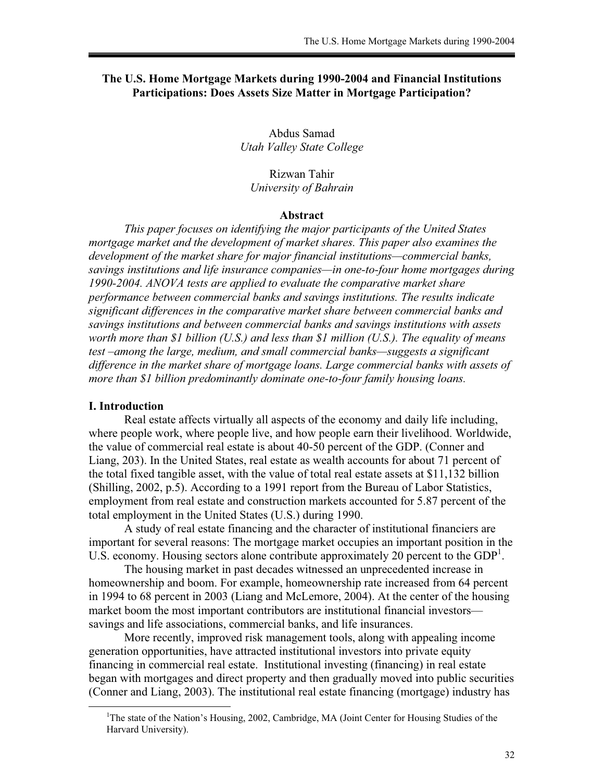## **The U.S. Home Mortgage Markets during 1990-2004 and Financial Institutions Participations: Does Assets Size Matter in Mortgage Participation?**

Abdus Samad *Utah Valley State College* 

Rizwan Tahir *University of Bahrain* 

### **Abstract**

*This paper focuses on identifying the major participants of the United States mortgage market and the development of market shares. This paper also examines the development of the market share for major financial institutions—commercial banks, savings institutions and life insurance companies—in one-to-four home mortgages during 1990-2004. ANOVA tests are applied to evaluate the comparative market share performance between commercial banks and savings institutions. The results indicate significant differences in the comparative market share between commercial banks and savings institutions and between commercial banks and savings institutions with assets worth more than \$1 billion (U.S.) and less than \$1 million (U.S.). The equality of means test –among the large, medium, and small commercial banks—suggests a significant difference in the market share of mortgage loans. Large commercial banks with assets of more than \$1 billion predominantly dominate one-to-four family housing loans.* 

#### **I. Introduction**

 $\overline{a}$ 

Real estate affects virtually all aspects of the economy and daily life including, where people work, where people live, and how people earn their livelihood. Worldwide, the value of commercial real estate is about 40-50 percent of the GDP. (Conner and Liang, 203). In the United States, real estate as wealth accounts for about 71 percent of the total fixed tangible asset, with the value of total real estate assets at \$11,132 billion (Shilling, 2002, p.5). According to a 1991 report from the Bureau of Labor Statistics, employment from real estate and construction markets accounted for 5.87 percent of the total employment in the United States (U.S.) during 1990.

A study of real estate financing and the character of institutional financiers are important for several reasons: The mortgage market occupies an important position in the U.S. economy. Housing sectors alone contribute approximately 20 percent to the  $GDP<sup>1</sup>$ .

The housing market in past decades witnessed an unprecedented increase in homeownership and boom. For example, homeownership rate increased from 64 percent in 1994 to 68 percent in 2003 (Liang and McLemore, 2004). At the center of the housing market boom the most important contributors are institutional financial investors savings and life associations, commercial banks, and life insurances.

More recently, improved risk management tools, along with appealing income generation opportunities, have attracted institutional investors into private equity financing in commercial real estate. Institutional investing (financing) in real estate began with mortgages and direct property and then gradually moved into public securities (Conner and Liang, 2003). The institutional real estate financing (mortgage) industry has

<sup>&</sup>lt;sup>1</sup>The state of the Nation's Housing, 2002, Cambridge, MA (Joint Center for Housing Studies of the Harvard University).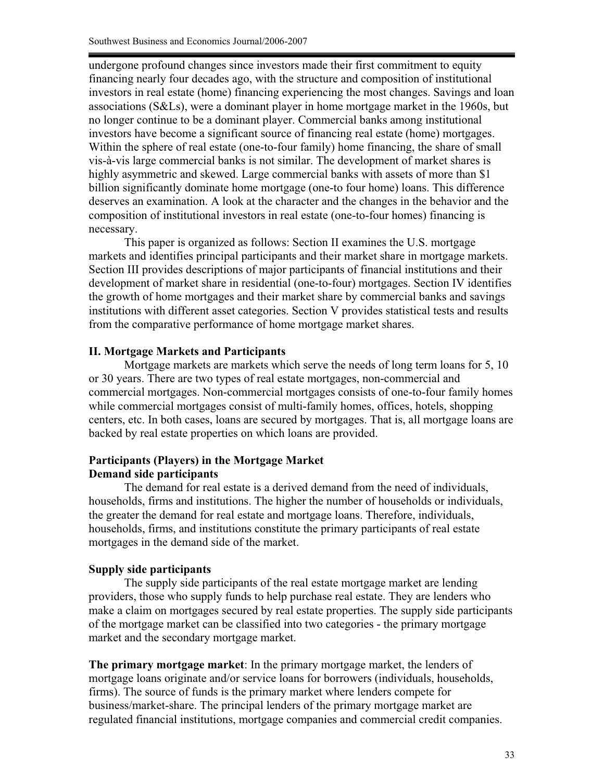undergone profound changes since investors made their first commitment to equity financing nearly four decades ago, with the structure and composition of institutional investors in real estate (home) financing experiencing the most changes. Savings and loan associations (S&Ls), were a dominant player in home mortgage market in the 1960s, but no longer continue to be a dominant player. Commercial banks among institutional investors have become a significant source of financing real estate (home) mortgages. Within the sphere of real estate (one-to-four family) home financing, the share of small vis-à-vis large commercial banks is not similar. The development of market shares is highly asymmetric and skewed. Large commercial banks with assets of more than \$1 billion significantly dominate home mortgage (one-to four home) loans. This difference deserves an examination. A look at the character and the changes in the behavior and the composition of institutional investors in real estate (one-to-four homes) financing is necessary.

 This paper is organized as follows: Section II examines the U.S. mortgage markets and identifies principal participants and their market share in mortgage markets. Section III provides descriptions of major participants of financial institutions and their development of market share in residential (one-to-four) mortgages. Section IV identifies the growth of home mortgages and their market share by commercial banks and savings institutions with different asset categories. Section V provides statistical tests and results from the comparative performance of home mortgage market shares.

# **II. Mortgage Markets and Participants**

Mortgage markets are markets which serve the needs of long term loans for 5, 10 or 30 years. There are two types of real estate mortgages, non-commercial and commercial mortgages. Non-commercial mortgages consists of one-to-four family homes while commercial mortgages consist of multi-family homes, offices, hotels, shopping centers, etc. In both cases, loans are secured by mortgages. That is, all mortgage loans are backed by real estate properties on which loans are provided.

# **Participants (Players) in the Mortgage Market Demand side participants**

The demand for real estate is a derived demand from the need of individuals, households, firms and institutions. The higher the number of households or individuals, the greater the demand for real estate and mortgage loans. Therefore, individuals, households, firms, and institutions constitute the primary participants of real estate mortgages in the demand side of the market.

# **Supply side participants**

 The supply side participants of the real estate mortgage market are lending providers, those who supply funds to help purchase real estate. They are lenders who make a claim on mortgages secured by real estate properties. The supply side participants of the mortgage market can be classified into two categories - the primary mortgage market and the secondary mortgage market.

**The primary mortgage market**: In the primary mortgage market, the lenders of mortgage loans originate and/or service loans for borrowers (individuals, households, firms). The source of funds is the primary market where lenders compete for business/market-share. The principal lenders of the primary mortgage market are regulated financial institutions, mortgage companies and commercial credit companies.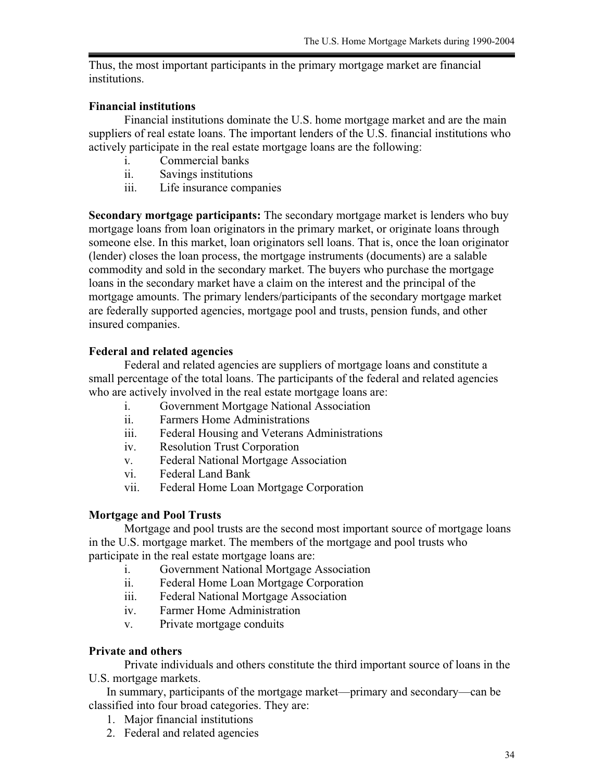Thus, the most important participants in the primary mortgage market are financial institutions.

# **Financial institutions**

Financial institutions dominate the U.S. home mortgage market and are the main suppliers of real estate loans. The important lenders of the U.S. financial institutions who actively participate in the real estate mortgage loans are the following:

- i. Commercial banks
- ii. Savings institutions
- iii. Life insurance companies

**Secondary mortgage participants:** The secondary mortgage market is lenders who buy mortgage loans from loan originators in the primary market, or originate loans through someone else. In this market, loan originators sell loans. That is, once the loan originator (lender) closes the loan process, the mortgage instruments (documents) are a salable commodity and sold in the secondary market. The buyers who purchase the mortgage loans in the secondary market have a claim on the interest and the principal of the mortgage amounts. The primary lenders/participants of the secondary mortgage market are federally supported agencies, mortgage pool and trusts, pension funds, and other insured companies.

# **Federal and related agencies**

Federal and related agencies are suppliers of mortgage loans and constitute a small percentage of the total loans. The participants of the federal and related agencies who are actively involved in the real estate mortgage loans are:

- i. Government Mortgage National Association
- ii. Farmers Home Administrations
- iii. Federal Housing and Veterans Administrations
- iv. Resolution Trust Corporation
- v. Federal National Mortgage Association
- vi. Federal Land Bank
- vii. Federal Home Loan Mortgage Corporation

# **Mortgage and Pool Trusts**

Mortgage and pool trusts are the second most important source of mortgage loans in the U.S. mortgage market. The members of the mortgage and pool trusts who participate in the real estate mortgage loans are:

- i. Government National Mortgage Association
- ii. Federal Home Loan Mortgage Corporation
- iii. Federal National Mortgage Association
- iv. Farmer Home Administration
- v. Private mortgage conduits

### **Private and others**

 Private individuals and others constitute the third important source of loans in the U.S. mortgage markets.

In summary, participants of the mortgage market—primary and secondary—can be classified into four broad categories. They are:

- 1. Major financial institutions
- 2. Federal and related agencies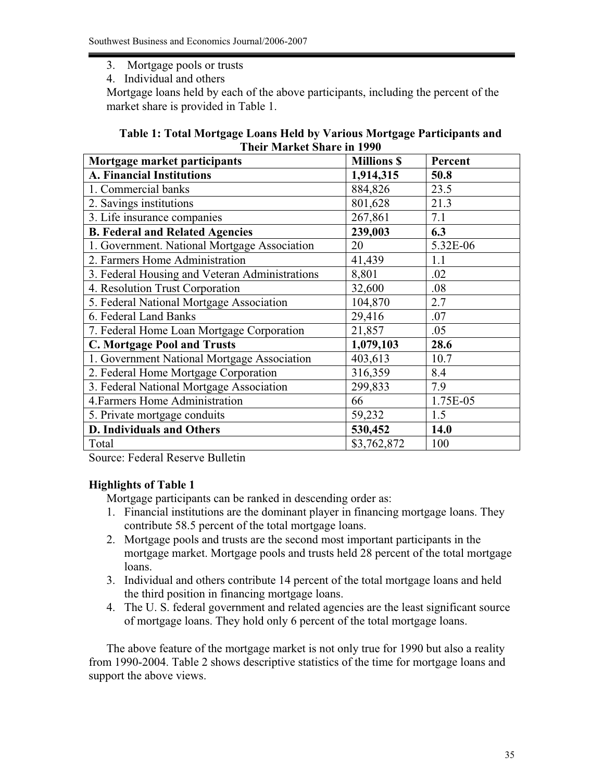- 3. Mortgage pools or trusts
- 4. Individual and others

Mortgage loans held by each of the above participants, including the percent of the market share is provided in Table 1.

| Table 1: Total Mortgage Loans Held by Various Mortgage Participants and |
|-------------------------------------------------------------------------|
| <b>Their Market Share in 1990</b>                                       |

| Mortgage market participants                   | <b>Millions \$</b> | Percent  |  |
|------------------------------------------------|--------------------|----------|--|
| <b>A. Financial Institutions</b>               | 1,914,315          | 50.8     |  |
| 1. Commercial banks                            | 884,826            | 23.5     |  |
| 2. Savings institutions                        | 801,628            | 21.3     |  |
| 3. Life insurance companies                    | 267,861            | 7.1      |  |
| <b>B. Federal and Related Agencies</b>         | 239,003            | 6.3      |  |
| 1. Government. National Mortgage Association   | 20                 | 5.32E-06 |  |
| 2. Farmers Home Administration                 | 41,439             | 1.1      |  |
| 3. Federal Housing and Veteran Administrations | 8,801              | .02      |  |
| 4. Resolution Trust Corporation                | 32,600             | .08      |  |
| 5. Federal National Mortgage Association       | 104,870            | 2.7      |  |
| 6. Federal Land Banks                          | 29,416             | .07      |  |
| 7. Federal Home Loan Mortgage Corporation      | 21,857             | .05      |  |
| <b>C. Mortgage Pool and Trusts</b>             | 1,079,103          | 28.6     |  |
| 1. Government National Mortgage Association    | 403,613            | 10.7     |  |
| 2. Federal Home Mortgage Corporation           | 316,359            | 8.4      |  |
| 3. Federal National Mortgage Association       | 299,833            | 7.9      |  |
| 4. Farmers Home Administration                 | 66                 | 1.75E-05 |  |
| 5. Private mortgage conduits                   | 59,232             | 1.5      |  |
| <b>D. Individuals and Others</b>               | 530,452            | 14.0     |  |
| Total                                          | \$3,762,872        | 100      |  |

Source: Federal Reserve Bulletin

# **Highlights of Table 1**

Mortgage participants can be ranked in descending order as:

- 1. Financial institutions are the dominant player in financing mortgage loans. They contribute 58.5 percent of the total mortgage loans.
- 2. Mortgage pools and trusts are the second most important participants in the mortgage market. Mortgage pools and trusts held 28 percent of the total mortgage loans.
- 3. Individual and others contribute 14 percent of the total mortgage loans and held the third position in financing mortgage loans.
- 4. The U. S. federal government and related agencies are the least significant source of mortgage loans. They hold only 6 percent of the total mortgage loans.

The above feature of the mortgage market is not only true for 1990 but also a reality from 1990-2004. Table 2 shows descriptive statistics of the time for mortgage loans and support the above views.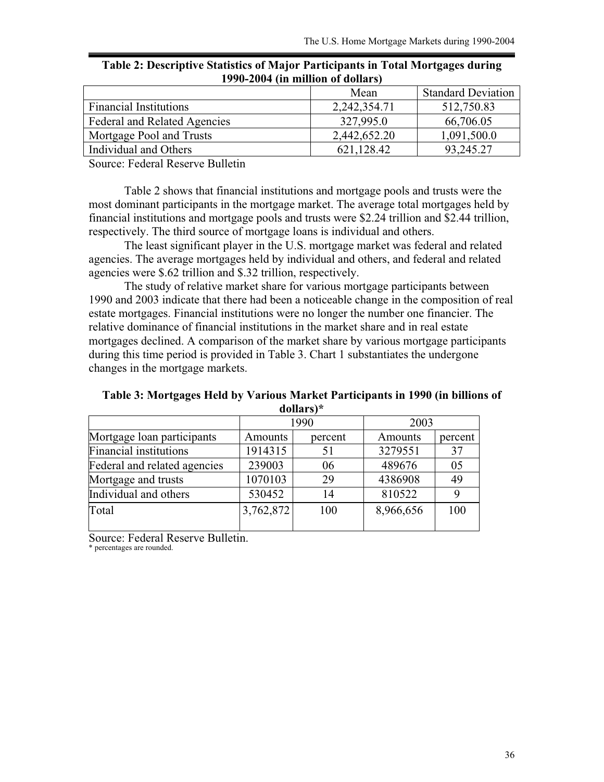| 1770-2007 (III IIIIIIIOII OI GOIIAI S) |              |                           |  |  |
|----------------------------------------|--------------|---------------------------|--|--|
|                                        | Mean         | <b>Standard Deviation</b> |  |  |
| <b>Financial Institutions</b>          | 2,242,354.71 | 512,750.83                |  |  |
| <b>Federal and Related Agencies</b>    | 327,995.0    | 66,706.05                 |  |  |
| Mortgage Pool and Trusts               | 2,442,652.20 | 1,091,500.0               |  |  |
| Individual and Others                  | 621,128.42   | 93,245.27                 |  |  |

**Table 2: Descriptive Statistics of Major Participants in Total Mortgages during 1990-2004 (in million of dollars)** 

Source: Federal Reserve Bulletin

 Table 2 shows that financial institutions and mortgage pools and trusts were the most dominant participants in the mortgage market. The average total mortgages held by financial institutions and mortgage pools and trusts were \$2.24 trillion and \$2.44 trillion, respectively. The third source of mortgage loans is individual and others.

 The least significant player in the U.S. mortgage market was federal and related agencies. The average mortgages held by individual and others, and federal and related agencies were \$.62 trillion and \$.32 trillion, respectively.

The study of relative market share for various mortgage participants between 1990 and 2003 indicate that there had been a noticeable change in the composition of real estate mortgages. Financial institutions were no longer the number one financier. The relative dominance of financial institutions in the market share and in real estate mortgages declined. A comparison of the market share by various mortgage participants during this time period is provided in Table 3. Chart 1 substantiates the undergone changes in the mortgage markets.

**Table 3: Mortgages Held by Various Market Participants in 1990 (in billions of dollars)\***

|                               |           | <u>wviimi v</u> |           |         |  |
|-------------------------------|-----------|-----------------|-----------|---------|--|
|                               | 1990      |                 | 2003      |         |  |
| Mortgage loan participants    | Amounts   | percent         |           | percent |  |
| <b>Financial institutions</b> | 1914315   | 51              | 3279551   | 37      |  |
| Federal and related agencies  | 239003    | 06              | 489676    | 05      |  |
| Mortgage and trusts           | 1070103   | 29              | 4386908   | 49      |  |
| Individual and others         | 530452    | 14              | 810522    | 9       |  |
| Total                         | 3,762,872 | 100             | 8,966,656 | 100     |  |

Source: Federal Reserve Bulletin.

\* percentages are rounded.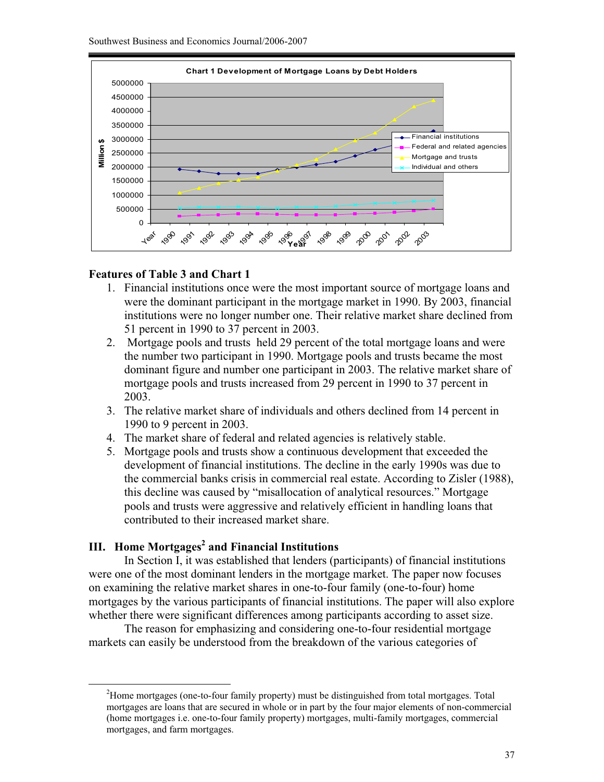

### **Features of Table 3 and Chart 1**

- 1. Financial institutions once were the most important source of mortgage loans and were the dominant participant in the mortgage market in 1990. By 2003, financial institutions were no longer number one. Their relative market share declined from 51 percent in 1990 to 37 percent in 2003.
- 2. Mortgage pools and trusts held 29 percent of the total mortgage loans and were the number two participant in 1990. Mortgage pools and trusts became the most dominant figure and number one participant in 2003. The relative market share of mortgage pools and trusts increased from 29 percent in 1990 to 37 percent in 2003.
- 3. The relative market share of individuals and others declined from 14 percent in 1990 to 9 percent in 2003.
- 4. The market share of federal and related agencies is relatively stable.
- 5. Mortgage pools and trusts show a continuous development that exceeded the development of financial institutions. The decline in the early 1990s was due to the commercial banks crisis in commercial real estate. According to Zisler (1988), this decline was caused by "misallocation of analytical resources." Mortgage pools and trusts were aggressive and relatively efficient in handling loans that contributed to their increased market share.

# **III. Home Mortgages<sup>2</sup> and Financial Institutions**

 $\overline{a}$ 

In Section I, it was established that lenders (participants) of financial institutions were one of the most dominant lenders in the mortgage market. The paper now focuses on examining the relative market shares in one-to-four family (one-to-four) home mortgages by the various participants of financial institutions. The paper will also explore whether there were significant differences among participants according to asset size.

The reason for emphasizing and considering one-to-four residential mortgage markets can easily be understood from the breakdown of the various categories of

<sup>2</sup>Home mortgages (one-to-four family property) must be distinguished from total mortgages. Total mortgages are loans that are secured in whole or in part by the four major elements of non-commercial (home mortgages i.e. one-to-four family property) mortgages, multi-family mortgages, commercial mortgages, and farm mortgages.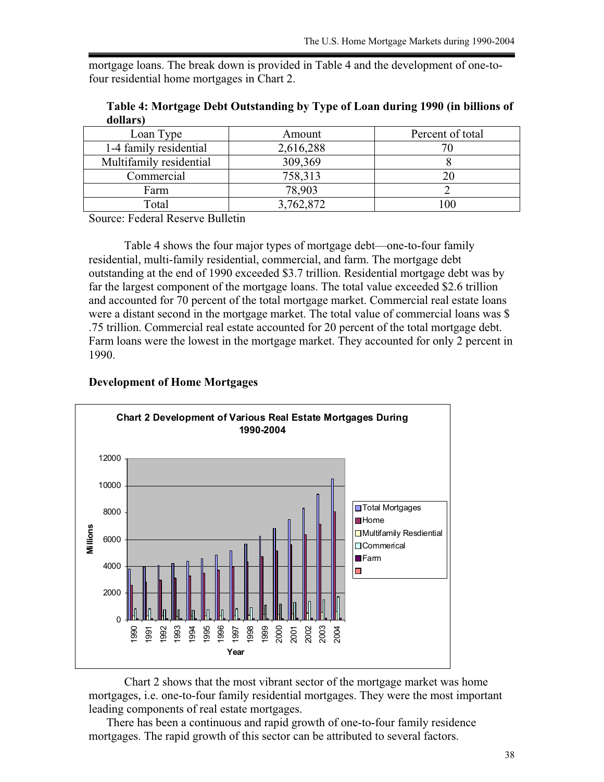mortgage loans. The break down is provided in Table 4 and the development of one-tofour residential home mortgages in Chart 2.

| Loan Type               | Amount    | Percent of total |
|-------------------------|-----------|------------------|
| 1-4 family residential  | 2,616,288 |                  |
| Multifamily residential | 309,369   |                  |
| Commercial              | 758,313   |                  |
| Farm                    | 78,903    |                  |
| Total                   | 3,762,872 | 100              |

**Table 4: Mortgage Debt Outstanding by Type of Loan during 1990 (in billions of dollars)**

Source: Federal Reserve Bulletin

Table 4 shows the four major types of mortgage debt—one-to-four family residential, multi-family residential, commercial, and farm. The mortgage debt outstanding at the end of 1990 exceeded \$3.7 trillion. Residential mortgage debt was by far the largest component of the mortgage loans. The total value exceeded \$2.6 trillion and accounted for 70 percent of the total mortgage market. Commercial real estate loans were a distant second in the mortgage market. The total value of commercial loans was \$ .75 trillion. Commercial real estate accounted for 20 percent of the total mortgage debt. Farm loans were the lowest in the mortgage market. They accounted for only 2 percent in 1990.

#### **Development of Home Mortgages**



Chart 2 shows that the most vibrant sector of the mortgage market was home mortgages, i.e. one-to-four family residential mortgages. They were the most important leading components of real estate mortgages.

There has been a continuous and rapid growth of one-to-four family residence mortgages. The rapid growth of this sector can be attributed to several factors.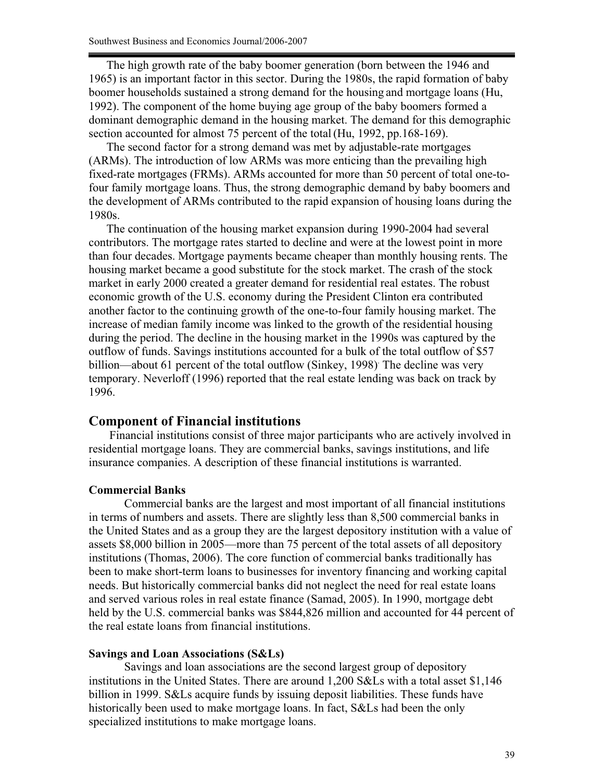The high growth rate of the baby boomer generation (born between the 1946 and 1965) is an important factor in this sector. During the 1980s, the rapid formation of baby boomer households sustained a strong demand for the housing and mortgage loans (Hu, 1992). The component of the home buying age group of the baby boomers formed a dominant demographic demand in the housing market. The demand for this demographic section accounted for almost 75 percent of the total (Hu, 1992, pp.168-169).

The second factor for a strong demand was met by adjustable-rate mortgages (ARMs). The introduction of low ARMs was more enticing than the prevailing high fixed-rate mortgages (FRMs). ARMs accounted for more than 50 percent of total one-tofour family mortgage loans. Thus, the strong demographic demand by baby boomers and the development of ARMs contributed to the rapid expansion of housing loans during the 1980s.

The continuation of the housing market expansion during 1990-2004 had several contributors. The mortgage rates started to decline and were at the lowest point in more than four decades. Mortgage payments became cheaper than monthly housing rents. The housing market became a good substitute for the stock market. The crash of the stock market in early 2000 created a greater demand for residential real estates. The robust economic growth of the U.S. economy during the President Clinton era contributed another factor to the continuing growth of the one-to-four family housing market. The increase of median family income was linked to the growth of the residential housing during the period. The decline in the housing market in the 1990s was captured by the outflow of funds. Savings institutions accounted for a bulk of the total outflow of \$57 billion—about 61 percent of the total outflow (Sinkey, 1998) The decline was very temporary. Neverloff (1996) reported that the real estate lending was back on track by 1996.

### **Component of Financial institutions**

Financial institutions consist of three major participants who are actively involved in residential mortgage loans. They are commercial banks, savings institutions, and life insurance companies. A description of these financial institutions is warranted.

#### **Commercial Banks**

Commercial banks are the largest and most important of all financial institutions in terms of numbers and assets. There are slightly less than 8,500 commercial banks in the United States and as a group they are the largest depository institution with a value of assets \$8,000 billion in 2005—more than 75 percent of the total assets of all depository institutions (Thomas, 2006). The core function of commercial banks traditionally has been to make short-term loans to businesses for inventory financing and working capital needs. But historically commercial banks did not neglect the need for real estate loans and served various roles in real estate finance (Samad, 2005). In 1990, mortgage debt held by the U.S. commercial banks was \$844,826 million and accounted for 44 percent of the real estate loans from financial institutions.

#### **Savings and Loan Associations (S&Ls)**

Savings and loan associations are the second largest group of depository institutions in the United States. There are around 1,200 S&Ls with a total asset \$1,146 billion in 1999. S&Ls acquire funds by issuing deposit liabilities. These funds have historically been used to make mortgage loans. In fact, S&Ls had been the only specialized institutions to make mortgage loans.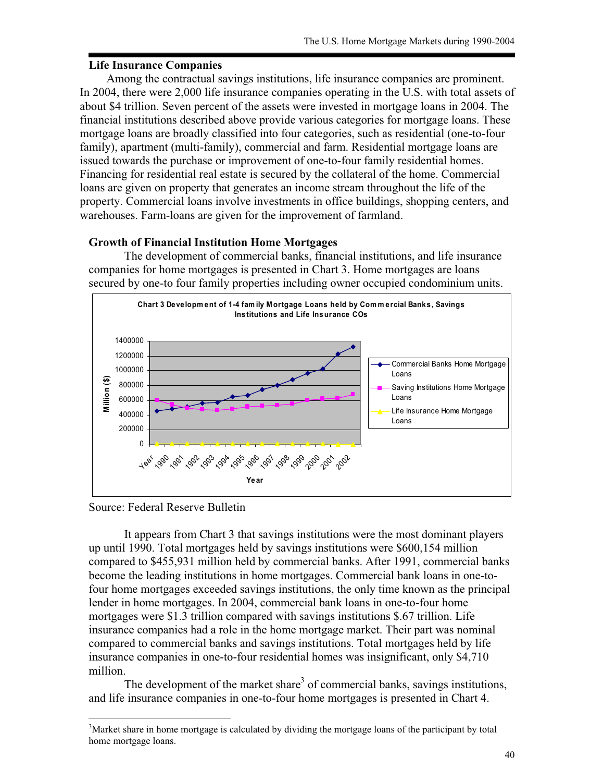### **Life Insurance Companies**

Among the contractual savings institutions, life insurance companies are prominent. In 2004, there were 2,000 life insurance companies operating in the U.S. with total assets of about \$4 trillion. Seven percent of the assets were invested in mortgage loans in 2004. The financial institutions described above provide various categories for mortgage loans. These mortgage loans are broadly classified into four categories, such as residential (one-to-four family), apartment (multi-family), commercial and farm. Residential mortgage loans are issued towards the purchase or improvement of one-to-four family residential homes. Financing for residential real estate is secured by the collateral of the home. Commercial loans are given on property that generates an income stream throughout the life of the property. Commercial loans involve investments in office buildings, shopping centers, and warehouses. Farm-loans are given for the improvement of farmland.

#### **Growth of Financial Institution Home Mortgages**

The development of commercial banks, financial institutions, and life insurance companies for home mortgages is presented in Chart 3. Home mortgages are loans secured by one-to four family properties including owner occupied condominium units.



Source: Federal Reserve Bulletin

 $\overline{a}$ 

 It appears from Chart 3 that savings institutions were the most dominant players up until 1990. Total mortgages held by savings institutions were \$600,154 million compared to \$455,931 million held by commercial banks. After 1991, commercial banks become the leading institutions in home mortgages. Commercial bank loans in one-tofour home mortgages exceeded savings institutions, the only time known as the principal lender in home mortgages. In 2004, commercial bank loans in one-to-four home mortgages were \$1.3 trillion compared with savings institutions \$.67 trillion. Life insurance companies had a role in the home mortgage market. Their part was nominal compared to commercial banks and savings institutions. Total mortgages held by life insurance companies in one-to-four residential homes was insignificant, only \$4,710 million.

The development of the market share<sup>3</sup> of commercial banks, savings institutions, and life insurance companies in one-to-four home mortgages is presented in Chart 4.

<sup>&</sup>lt;sup>3</sup>Market share in home mortgage is calculated by dividing the mortgage loans of the participant by total home mortgage loans.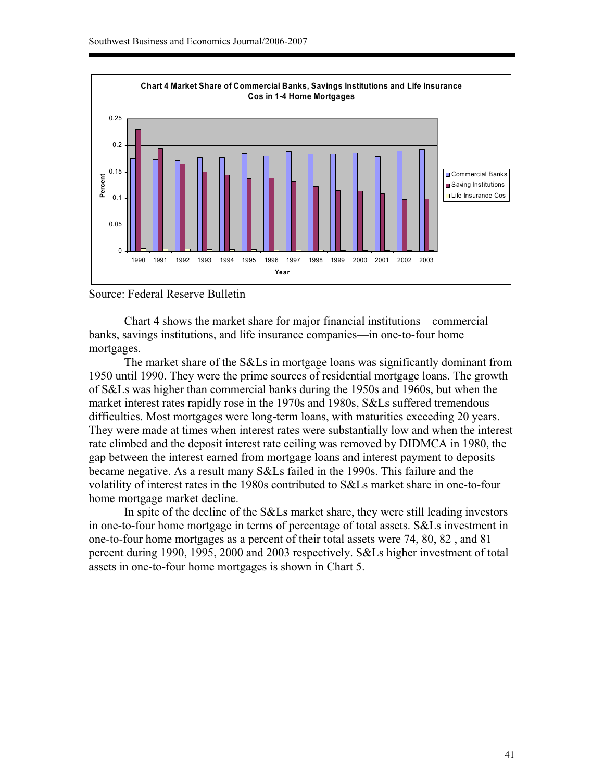

Source: Federal Reserve Bulletin

 Chart 4 shows the market share for major financial institutions—commercial banks, savings institutions, and life insurance companies—in one-to-four home mortgages.

The market share of the S&Ls in mortgage loans was significantly dominant from 1950 until 1990. They were the prime sources of residential mortgage loans. The growth of S&Ls was higher than commercial banks during the 1950s and 1960s, but when the market interest rates rapidly rose in the 1970s and 1980s, S&Ls suffered tremendous difficulties. Most mortgages were long-term loans, with maturities exceeding 20 years. They were made at times when interest rates were substantially low and when the interest rate climbed and the deposit interest rate ceiling was removed by DIDMCA in 1980, the gap between the interest earned from mortgage loans and interest payment to deposits became negative. As a result many S&Ls failed in the 1990s. This failure and the volatility of interest rates in the 1980s contributed to S&Ls market share in one-to-four home mortgage market decline.

In spite of the decline of the S&Ls market share, they were still leading investors in one-to-four home mortgage in terms of percentage of total assets. S&Ls investment in one-to-four home mortgages as a percent of their total assets were 74, 80, 82 , and 81 percent during 1990, 1995, 2000 and 2003 respectively. S&Ls higher investment of total assets in one-to-four home mortgages is shown in Chart 5.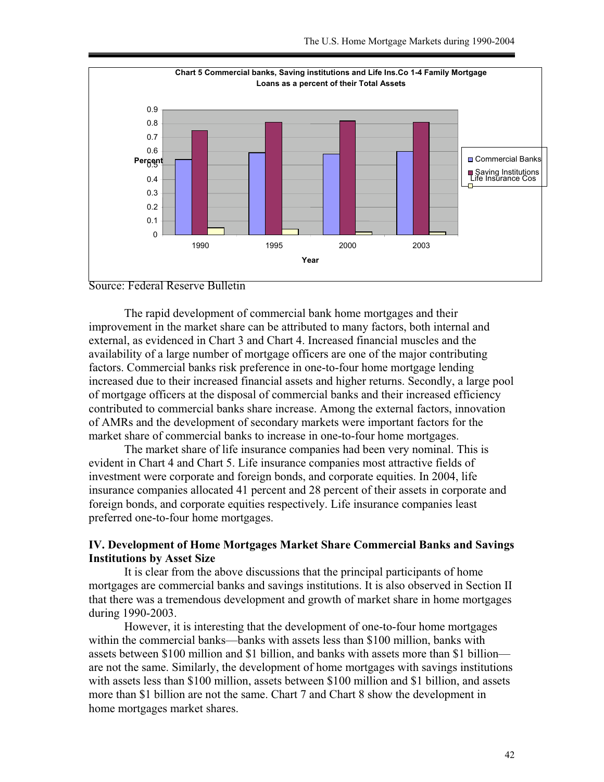



The rapid development of commercial bank home mortgages and their improvement in the market share can be attributed to many factors, both internal and external, as evidenced in Chart 3 and Chart 4. Increased financial muscles and the availability of a large number of mortgage officers are one of the major contributing factors. Commercial banks risk preference in one-to-four home mortgage lending increased due to their increased financial assets and higher returns. Secondly, a large pool of mortgage officers at the disposal of commercial banks and their increased efficiency contributed to commercial banks share increase. Among the external factors, innovation of AMRs and the development of secondary markets were important factors for the market share of commercial banks to increase in one-to-four home mortgages.

The market share of life insurance companies had been very nominal. This is evident in Chart 4 and Chart 5. Life insurance companies most attractive fields of investment were corporate and foreign bonds, and corporate equities. In 2004, life insurance companies allocated 41 percent and 28 percent of their assets in corporate and foreign bonds, and corporate equities respectively. Life insurance companies least preferred one-to-four home mortgages.

## **IV. Development of Home Mortgages Market Share Commercial Banks and Savings Institutions by Asset Size**

It is clear from the above discussions that the principal participants of home mortgages are commercial banks and savings institutions. It is also observed in Section II that there was a tremendous development and growth of market share in home mortgages during 1990-2003.

 However, it is interesting that the development of one-to-four home mortgages within the commercial banks—banks with assets less than \$100 million, banks with assets between \$100 million and \$1 billion, and banks with assets more than \$1 billion are not the same. Similarly, the development of home mortgages with savings institutions with assets less than \$100 million, assets between \$100 million and \$1 billion, and assets more than \$1 billion are not the same. Chart 7 and Chart 8 show the development in home mortgages market shares.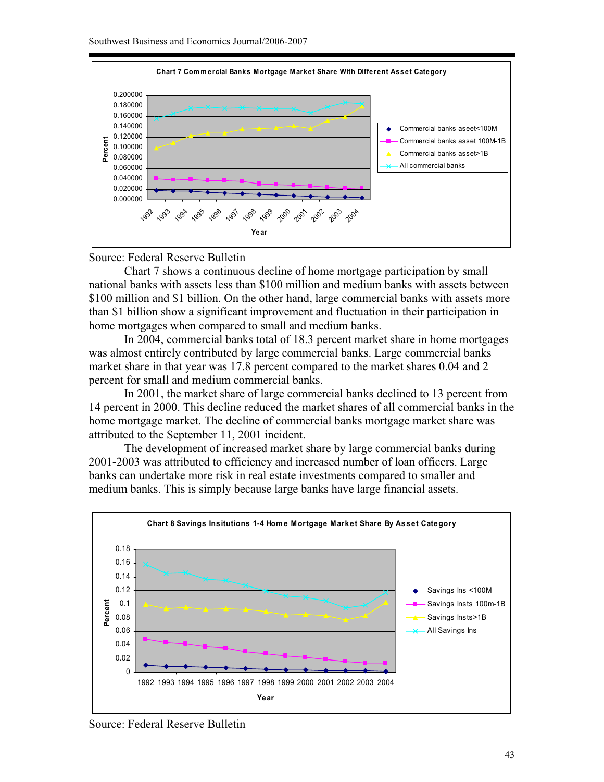

#### Source: Federal Reserve Bulletin

 Chart 7 shows a continuous decline of home mortgage participation by small national banks with assets less than \$100 million and medium banks with assets between \$100 million and \$1 billion. On the other hand, large commercial banks with assets more than \$1 billion show a significant improvement and fluctuation in their participation in home mortgages when compared to small and medium banks.

In 2004, commercial banks total of 18.3 percent market share in home mortgages was almost entirely contributed by large commercial banks. Large commercial banks market share in that year was 17.8 percent compared to the market shares 0.04 and 2 percent for small and medium commercial banks.

In 2001, the market share of large commercial banks declined to 13 percent from 14 percent in 2000. This decline reduced the market shares of all commercial banks in the home mortgage market. The decline of commercial banks mortgage market share was attributed to the September 11, 2001 incident.

The development of increased market share by large commercial banks during 2001-2003 was attributed to efficiency and increased number of loan officers. Large banks can undertake more risk in real estate investments compared to smaller and medium banks. This is simply because large banks have large financial assets.



Source: Federal Reserve Bulletin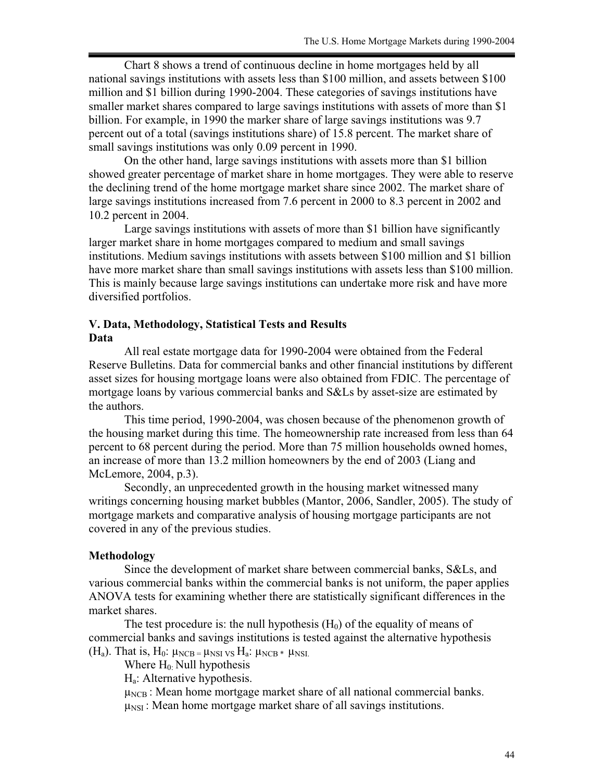Chart 8 shows a trend of continuous decline in home mortgages held by all national savings institutions with assets less than \$100 million, and assets between \$100 million and \$1 billion during 1990-2004. These categories of savings institutions have smaller market shares compared to large savings institutions with assets of more than \$1 billion. For example, in 1990 the marker share of large savings institutions was 9.7 percent out of a total (savings institutions share) of 15.8 percent. The market share of small savings institutions was only 0.09 percent in 1990.

On the other hand, large savings institutions with assets more than \$1 billion showed greater percentage of market share in home mortgages. They were able to reserve the declining trend of the home mortgage market share since 2002. The market share of large savings institutions increased from 7.6 percent in 2000 to 8.3 percent in 2002 and 10.2 percent in 2004.

Large savings institutions with assets of more than \$1 billion have significantly larger market share in home mortgages compared to medium and small savings institutions. Medium savings institutions with assets between \$100 million and \$1 billion have more market share than small savings institutions with assets less than \$100 million. This is mainly because large savings institutions can undertake more risk and have more diversified portfolios.

### **V. Data, Methodology, Statistical Tests and Results Data**

All real estate mortgage data for 1990-2004 were obtained from the Federal Reserve Bulletins. Data for commercial banks and other financial institutions by different asset sizes for housing mortgage loans were also obtained from FDIC. The percentage of mortgage loans by various commercial banks and S&Ls by asset-size are estimated by the authors.

 This time period, 1990-2004, was chosen because of the phenomenon growth of the housing market during this time. The homeownership rate increased from less than 64 percent to 68 percent during the period. More than 75 million households owned homes, an increase of more than 13.2 million homeowners by the end of 2003 (Liang and McLemore, 2004, p.3).

 Secondly, an unprecedented growth in the housing market witnessed many writings concerning housing market bubbles (Mantor, 2006, Sandler, 2005). The study of mortgage markets and comparative analysis of housing mortgage participants are not covered in any of the previous studies.

### **Methodology**

 Since the development of market share between commercial banks, S&Ls, and various commercial banks within the commercial banks is not uniform, the paper applies ANOVA tests for examining whether there are statistically significant differences in the market shares.

The test procedure is: the null hypothesis  $(H_0)$  of the equality of means of commercial banks and savings institutions is tested against the alternative hypothesis (H<sub>a</sub>). That is, H<sub>0</sub>:  $\mu_{NCB} = \mu_{NSI}$  vs H<sub>a</sub>:  $\mu_{NCB} * \mu_{NSI}$ .

Where  $H_0$ : Null hypothesis

Ha: Alternative hypothesis.

 $\mu_{NCB}$ : Mean home mortgage market share of all national commercial banks.  $\mu_{\text{NSI}}$ : Mean home mortgage market share of all savings institutions.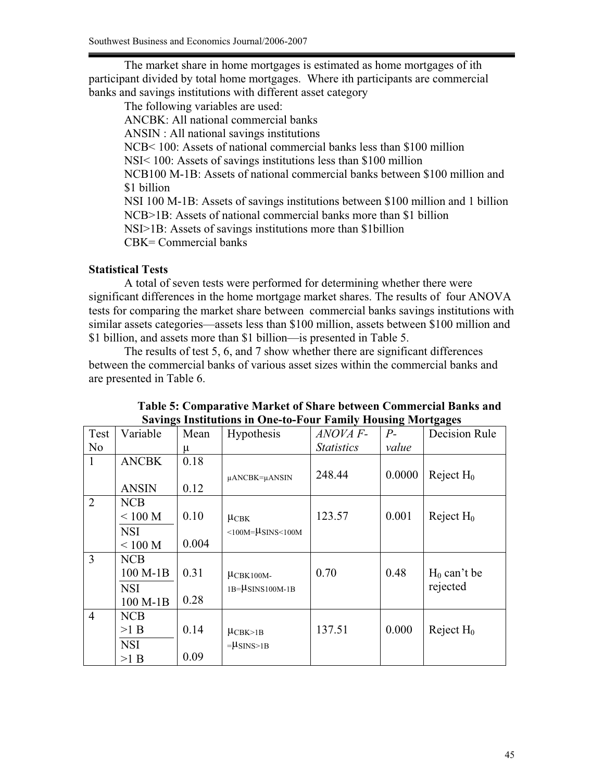The market share in home mortgages is estimated as home mortgages of ith participant divided by total home mortgages. Where ith participants are commercial banks and savings institutions with different asset category

The following variables are used: ANCBK: All national commercial banks ANSIN : All national savings institutions NCB< 100: Assets of national commercial banks less than \$100 million NSI< 100: Assets of savings institutions less than \$100 million NCB100 M-1B: Assets of national commercial banks between \$100 million and \$1 billion NSI 100 M-1B: Assets of savings institutions between \$100 million and 1 billion NCB>1B: Assets of national commercial banks more than \$1 billion NSI>1B: Assets of savings institutions more than \$1billion CBK= Commercial banks

# **Statistical Tests**

A total of seven tests were performed for determining whether there were significant differences in the home mortgage market shares. The results of four ANOVA tests for comparing the market share between commercial banks savings institutions with similar assets categories—assets less than \$100 million, assets between \$100 million and \$1 billion, and assets more than \$1 billion—is presented in Table 5.

 The results of test 5, 6, and 7 show whether there are significant differences between the commercial banks of various asset sizes within the commercial banks and are presented in Table 6.

|                | Savings Institutions in One-to-Four Family Housing Mortgages |       |                             |                   |        |                |  |
|----------------|--------------------------------------------------------------|-------|-----------------------------|-------------------|--------|----------------|--|
| Test           | Variable                                                     | Mean  | Hypothesis                  | ANOVA F-          | $P-$   | Decision Rule  |  |
| N <sub>0</sub> |                                                              | μ     |                             | <i>Statistics</i> | value  |                |  |
| $\mathbf{1}$   | <b>ANCBK</b>                                                 | 0.18  |                             |                   |        |                |  |
|                |                                                              |       | $\mu$ ANCBK= $\mu$ ANSIN    | 248.44            | 0.0000 | Reject $H_0$   |  |
|                | <b>ANSIN</b>                                                 | 0.12  |                             |                   |        |                |  |
| $\overline{2}$ | NCB                                                          |       |                             |                   |        |                |  |
|                | < 100 M                                                      | 0.10  | $\mu$ CBK                   | 123.57            | 0.001  | Reject $H_0$   |  |
|                | <b>NSI</b>                                                   |       | $<100M=$ $\mu$ SINS $<100M$ |                   |        |                |  |
|                | $<100$ M                                                     | 0.004 |                             |                   |        |                |  |
| $\overline{3}$ | <b>NCB</b>                                                   |       |                             |                   |        |                |  |
|                | 100 M-1B                                                     | 0.31  | $\mu$ CBK100M-              | 0.70              | 0.48   | $H_0$ can't be |  |
|                | <b>NSI</b>                                                   |       | $1B = \mu$ SINS100M-1B      |                   |        | rejected       |  |
|                | 100 M-1B                                                     | 0.28  |                             |                   |        |                |  |
| $\overline{4}$ | <b>NCB</b>                                                   |       |                             |                   |        |                |  |
|                | >1 B                                                         | 0.14  | $\mu$ CBK>1B                | 137.51            | 0.000  | Reject $H_0$   |  |
|                | <b>NSI</b>                                                   |       | $=\mu$ SINS>1B              |                   |        |                |  |
|                | >1 B                                                         | 0.09  |                             |                   |        |                |  |

**Table 5: Comparative Market of Share between Commercial Banks and Savings Institutions in One-to-Four Family Housing Mortgages**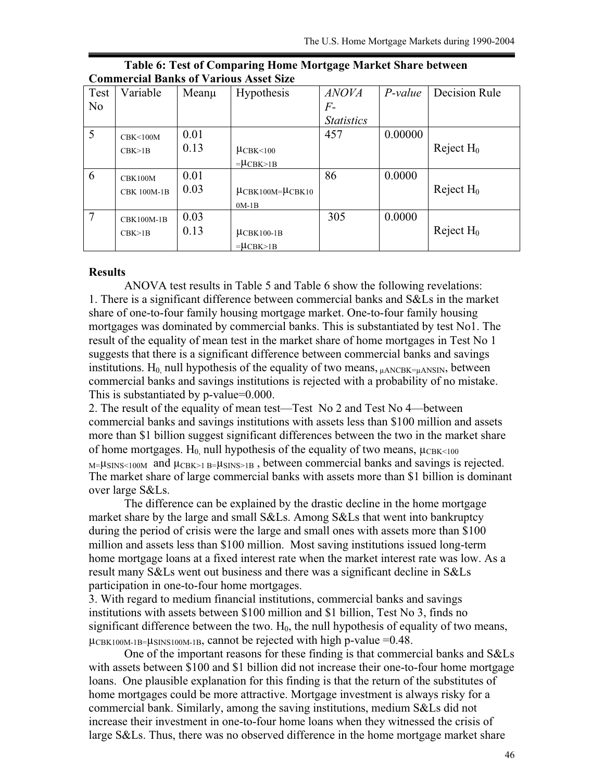| Test           | Variable           | $Mean\mu$ | <b>Hypothesis</b>          | <i>ANOVA</i>      | $P-value$ | Decision Rule |
|----------------|--------------------|-----------|----------------------------|-------------------|-----------|---------------|
| N <sub>o</sub> |                    |           |                            | $F -$             |           |               |
|                |                    |           |                            | <b>Statistics</b> |           |               |
| 5              | CRK < 100M         | 0.01      |                            | 457               | 0.00000   |               |
|                | CBK>1B             | 0.13      | $\mu$ CBK<100              |                   |           | Reject $H_0$  |
|                |                    |           | $=\mu$ CBK>1B              |                   |           |               |
| 6              | CBK100M            | 0.01      |                            | 86                | 0.0000    |               |
|                | <b>CBK 100M-1B</b> | 0.03      | $\mu$ CBK100M= $\mu$ CBK10 |                   |           | Reject $H_0$  |
|                |                    |           | $0M-1B$                    |                   |           |               |
| 7              | CBK100M-1B         | 0.03      |                            | 305               | 0.0000    |               |
|                | CBK>1B             | 0.13      | $\mu$ CBK100-1B            |                   |           | Reject $H_0$  |
|                |                    |           | $=$ $\mu$ CBK $>1B$        |                   |           |               |

| Table 6: Test of Comparing Home Mortgage Market Share between |  |
|---------------------------------------------------------------|--|
| <b>Commercial Banks of Various Asset Size</b>                 |  |

#### **Results**

ANOVA test results in Table 5 and Table 6 show the following revelations: 1. There is a significant difference between commercial banks and S&Ls in the market share of one-to-four family housing mortgage market. One-to-four family housing mortgages was dominated by commercial banks. This is substantiated by test No1. The result of the equality of mean test in the market share of home mortgages in Test No 1 suggests that there is a significant difference between commercial banks and savings institutions.  $H_0$  null hypothesis of the equality of two means,  $\mu$ ANCBK= $\mu$ ANSIN, between commercial banks and savings institutions is rejected with a probability of no mistake. This is substantiated by p-value=0.000.

2. The result of the equality of mean test—Test No 2 and Test No 4—between commercial banks and savings institutions with assets less than \$100 million and assets more than \$1 billion suggest significant differences between the two in the market share of home mortgages. H<sub>0</sub>, null hypothesis of the equality of two means,  $\mu_{CBK \leq 100}$  $M=|\mu_{\rm SINS}\leq100M$  and  $\mu_{\rmCBK>1\,B}=\mu_{\rm SINS>1\,B}$ , between commercial banks and savings is rejected. The market share of large commercial banks with assets more than \$1 billion is dominant over large S&Ls.

The difference can be explained by the drastic decline in the home mortgage market share by the large and small S&Ls. Among S&Ls that went into bankruptcy during the period of crisis were the large and small ones with assets more than \$100 million and assets less than \$100 million. Most saving institutions issued long-term home mortgage loans at a fixed interest rate when the market interest rate was low. As a result many S&Ls went out business and there was a significant decline in S&Ls participation in one-to-four home mortgages.

3. With regard to medium financial institutions, commercial banks and savings institutions with assets between \$100 million and \$1 billion, Test No 3, finds no significant difference between the two.  $H_0$ , the null hypothesis of equality of two means,  $\mu_{\text{CBK100M-1B}} = \mu_{\text{SINS100M-1B}}$ , cannot be rejected with high p-value =0.48.

One of the important reasons for these finding is that commercial banks and S&Ls with assets between \$100 and \$1 billion did not increase their one-to-four home mortgage loans. One plausible explanation for this finding is that the return of the substitutes of home mortgages could be more attractive. Mortgage investment is always risky for a commercial bank. Similarly, among the saving institutions, medium S&Ls did not increase their investment in one-to-four home loans when they witnessed the crisis of large S&Ls. Thus, there was no observed difference in the home mortgage market share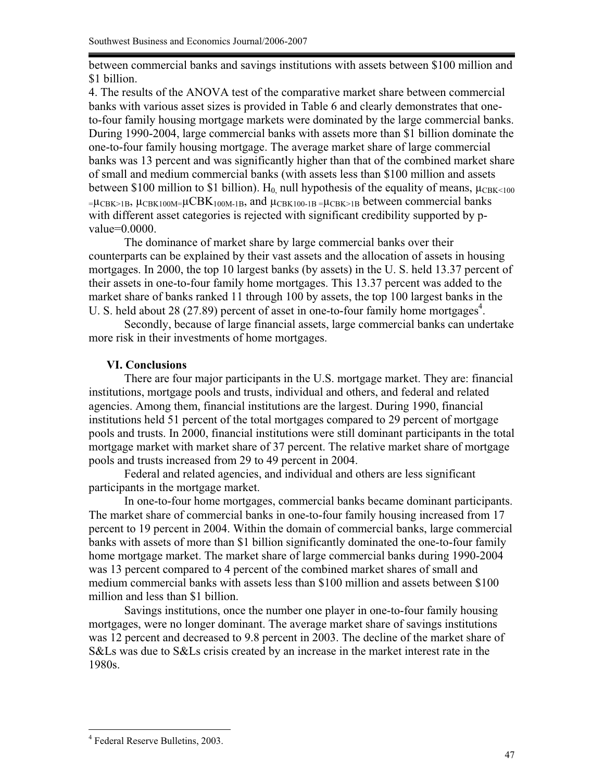between commercial banks and savings institutions with assets between \$100 million and \$1 billion.

4. The results of the ANOVA test of the comparative market share between commercial banks with various asset sizes is provided in Table 6 and clearly demonstrates that oneto-four family housing mortgage markets were dominated by the large commercial banks. During 1990-2004, large commercial banks with assets more than \$1 billion dominate the one-to-four family housing mortgage. The average market share of large commercial banks was 13 percent and was significantly higher than that of the combined market share of small and medium commercial banks (with assets less than \$100 million and assets between \$100 million to \$1 billion). H<sub>0</sub> null hypothesis of the equality of means,  $\mu_{CBK \le 100}$  $=\mu_{\text{CBK}>1B}$ ,  $\mu_{\text{CBK100M}}=\mu_{\text{CBK100M-1B}}$ , and  $\mu_{\text{CBK100-1B}}=\mu_{\text{CBK}>1B}$  between commercial banks with different asset categories is rejected with significant credibility supported by pvalue=0.0000.

The dominance of market share by large commercial banks over their counterparts can be explained by their vast assets and the allocation of assets in housing mortgages. In 2000, the top 10 largest banks (by assets) in the U. S. held 13.37 percent of their assets in one-to-four family home mortgages. This 13.37 percent was added to the market share of banks ranked 11 through 100 by assets, the top 100 largest banks in the U. S. held about 28 (27.89) percent of asset in one-to-four family home mortgages<sup>4</sup>.

Secondly, because of large financial assets, large commercial banks can undertake more risk in their investments of home mortgages.

# **VI. Conclusions**

There are four major participants in the U.S. mortgage market. They are: financial institutions, mortgage pools and trusts, individual and others, and federal and related agencies. Among them, financial institutions are the largest. During 1990, financial institutions held 51 percent of the total mortgages compared to 29 percent of mortgage pools and trusts. In 2000, financial institutions were still dominant participants in the total mortgage market with market share of 37 percent. The relative market share of mortgage pools and trusts increased from 29 to 49 percent in 2004.

 Federal and related agencies, and individual and others are less significant participants in the mortgage market.

In one-to-four home mortgages, commercial banks became dominant participants. The market share of commercial banks in one-to-four family housing increased from 17 percent to 19 percent in 2004. Within the domain of commercial banks, large commercial banks with assets of more than \$1 billion significantly dominated the one-to-four family home mortgage market. The market share of large commercial banks during 1990-2004 was 13 percent compared to 4 percent of the combined market shares of small and medium commercial banks with assets less than \$100 million and assets between \$100 million and less than \$1 billion.

Savings institutions, once the number one player in one-to-four family housing mortgages, were no longer dominant. The average market share of savings institutions was 12 percent and decreased to 9.8 percent in 2003. The decline of the market share of S&Ls was due to S&Ls crisis created by an increase in the market interest rate in the 1980s.

 $\overline{a}$ 4 Federal Reserve Bulletins, 2003.